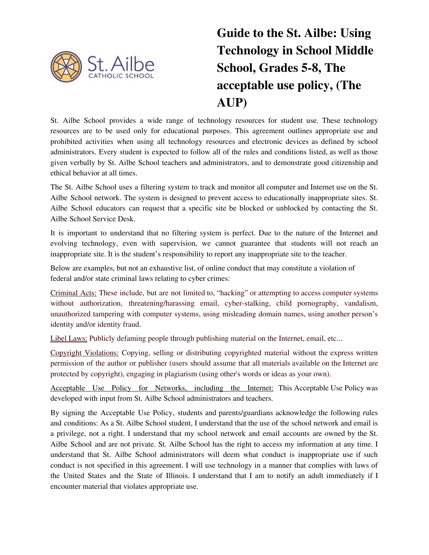

# **Guide to the St. Ailbe: Using Technology in School Middle School, Grades 5-8, The acceptable use policy, (The AUP)**

St. Ailbe School provides a wide range of technology resources for student use. These technology resources are to be used only for educational purposes. This agreement outlines appropriate use and prohibited activities when using all technology resources and electronic devices as defined by school administrators. Every student is expected to follow all of the rules and conditions listed, as well as those given verbally by St. Ailbe School teachers and administrators, and to demonstrate good citizenship and ethical behavior at all times.

The St. Ailbe School uses a filtering system to track and monitor all computer and Internet use on the St. Ailbe School network. The system is designed to prevent access to educationally inappropriate sites. St. Ailbe School educators can request that a specific site be blocked or unblocked by contacting the St. Ailbe School Service Desk.

It is important to understand that no filtering system is perfect. Due to the nature of the Internet and evolving technology, even with supervision, we cannot guarantee that students will not reach an inappropriate site. It is the student's responsibility to report any inappropriate site to the teacher.

Below are examples, but not an exhaustive list, of online conduct that may constitute a violation of federal and/or state criminal laws relating to cyber crimes:

Criminal Acts: These include, but are not limited to, "hacking" or attempting to access computer systems without authorization, threatening/harassing email, cyber-stalking, child pornography, vandalism, unauthorized tampering with computer systems, using misleading domain names, using another person's identity and/or identity fraud.

Libel Laws: Publicly defaming people through publishing material on the Internet, email, etc...

Copyright Violations: Copying, selling or distributing copyrighted material without the express written permission of the author or publisher (users should assume that all materials available on the Internet are protected by copyright), engaging in plagiarism (using other's words or ideas as your own).

Acceptable Use Policy for Networks, including the Internet: This Acceptable Use Policy was developed with input from St. Ailbe School administrators and teachers.

By signing the Acceptable Use Policy, students and parents/guardians acknowledge the following rules and conditions: As a St. Ailbe School student, I understand that the use of the school network and email is a privilege, not a right. I understand that my school network and email accounts are owned by the St. Ailbe School and are not private. St. Ailbe School has the right to access my information at any time. I understand that St. Ailbe School administrators will deem what conduct is inappropriate use if such conduct is not specified in this agreement. I will use technology in a manner that complies with laws of the United States and the State of Illinois. I understand that I am to notify an adult immediately if I encounter material that violates appropriate use.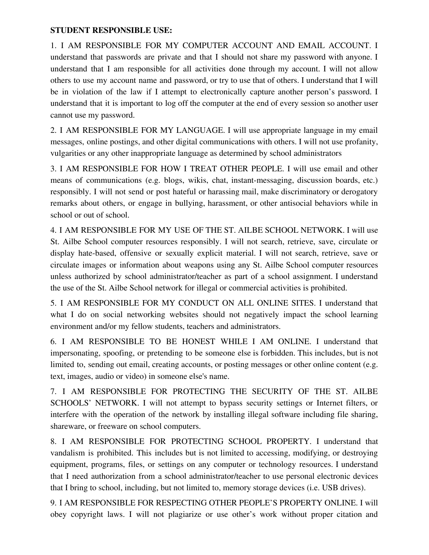#### **STUDENT RESPONSIBLE USE:**

1. I AM RESPONSIBLE FOR MY COMPUTER ACCOUNT AND EMAIL ACCOUNT. I understand that passwords are private and that I should not share my password with anyone. I understand that I am responsible for all activities done through my account. I will not allow others to use my account name and password, or try to use that of others. I understand that I will be in violation of the law if I attempt to electronically capture another person's password. I understand that it is important to log off the computer at the end of every session so another user cannot use my password.

2. I AM RESPONSIBLE FOR MY LANGUAGE. I will use appropriate language in my email messages, online postings, and other digital communications with others. I will not use profanity, vulgarities or any other inappropriate language as determined by school administrators

3. I AM RESPONSIBLE FOR HOW I TREAT OTHER PEOPLE. I will use email and other means of communications (e.g. blogs, wikis, chat, instant-messaging, discussion boards, etc.) responsibly. I will not send or post hateful or harassing mail, make discriminatory or derogatory remarks about others, or engage in bullying, harassment, or other antisocial behaviors while in school or out of school.

4. I AM RESPONSIBLE FOR MY USE OF THE ST. AILBE SCHOOL NETWORK. I will use St. Ailbe School computer resources responsibly. I will not search, retrieve, save, circulate or display hate-based, offensive or sexually explicit material. I will not search, retrieve, save or circulate images or information about weapons using any St. Ailbe School computer resources unless authorized by school administrator/teacher as part of a school assignment. I understand the use of the St. Ailbe School network for illegal or commercial activities is prohibited.

5. I AM RESPONSIBLE FOR MY CONDUCT ON ALL ONLINE SITES. I understand that what I do on social networking websites should not negatively impact the school learning environment and/or my fellow students, teachers and administrators.

6. I AM RESPONSIBLE TO BE HONEST WHILE I AM ONLINE. I understand that impersonating, spoofing, or pretending to be someone else is forbidden. This includes, but is not limited to, sending out email, creating accounts, or posting messages or other online content (e.g. text, images, audio or video) in someone else's name.

7. I AM RESPONSIBLE FOR PROTECTING THE SECURITY OF THE ST. AILBE SCHOOLS' NETWORK. I will not attempt to bypass security settings or Internet filters, or interfere with the operation of the network by installing illegal software including file sharing, shareware, or freeware on school computers.

8. I AM RESPONSIBLE FOR PROTECTING SCHOOL PROPERTY. I understand that vandalism is prohibited. This includes but is not limited to accessing, modifying, or destroying equipment, programs, files, or settings on any computer or technology resources. I understand that I need authorization from a school administrator/teacher to use personal electronic devices that I bring to school, including, but not limited to, memory storage devices (i.e. USB drives).

9. I AM RESPONSIBLE FOR RESPECTING OTHER PEOPLE'S PROPERTY ONLINE. I will obey copyright laws. I will not plagiarize or use other's work without proper citation and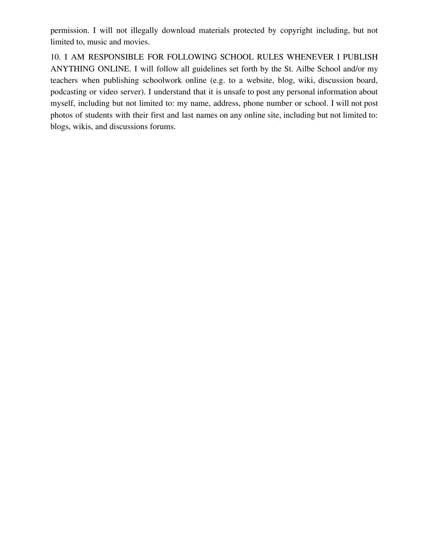permission. I will not illegally download materials protected by copyright including, but not limited to, music and movies.

10. I AM RESPONSIBLE FOR FOLLOWING SCHOOL RULES WHENEVER I PUBLISH ANYTHING ONLINE. I will follow all guidelines set forth by the St. Ailbe School and/or my teachers when publishing schoolwork online (e.g. to a website, blog, wiki, discussion board, podcasting or video server). I understand that it is unsafe to post any personal information about myself, including but not limited to: my name, address, phone number or school. I will not post photos of students with their first and last names on any online site, including but not limited to: blogs, wikis, and discussions forums.